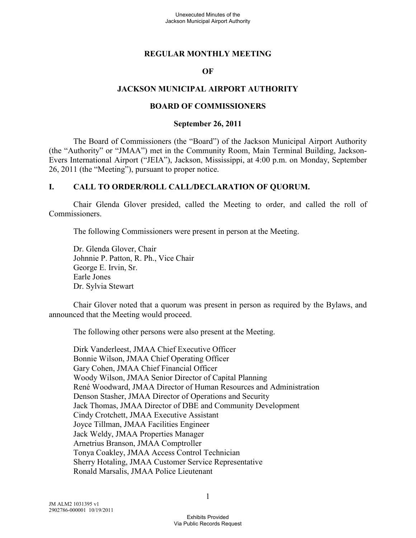# **REGULAR MONTHLY MEETING**

#### **OF**

# **JACKSON MUNICIPAL AIRPORT AUTHORITY**

#### **BOARD OF COMMISSIONERS**

#### **September 26, 2011**

The Board of Commissioners (the "Board") of the Jackson Municipal Airport Authority (the "Authority" or "JMAA") met in the Community Room, Main Terminal Building, Jackson-Evers International Airport ("JEIA"), Jackson, Mississippi, at 4:00 p.m. on Monday, September 26, 2011 (the "Meeting"), pursuant to proper notice.

#### **I. CALL TO ORDER/ROLL CALL/DECLARATION OF QUORUM.**

Chair Glenda Glover presided, called the Meeting to order, and called the roll of Commissioners.

The following Commissioners were present in person at the Meeting.

Dr. Glenda Glover, Chair Johnnie P. Patton, R. Ph., Vice Chair George E. Irvin, Sr. Earle Jones Dr. Sylvia Stewart

Chair Glover noted that a quorum was present in person as required by the Bylaws, and announced that the Meeting would proceed.

The following other persons were also present at the Meeting.

Dirk Vanderleest, JMAA Chief Executive Officer Bonnie Wilson, JMAA Chief Operating Officer Gary Cohen, JMAA Chief Financial Officer Woody Wilson, JMAA Senior Director of Capital Planning René Woodward, JMAA Director of Human Resources and Administration Denson Stasher, JMAA Director of Operations and Security Jack Thomas, JMAA Director of DBE and Community Development Cindy Crotchett, JMAA Executive Assistant Joyce Tillman, JMAA Facilities Engineer Jack Weldy, JMAA Properties Manager Arnetrius Branson, JMAA Comptroller Tonya Coakley, JMAA Access Control Technician Sherry Hotaling, JMAA Customer Service Representative Ronald Marsalis, JMAA Police Lieutenant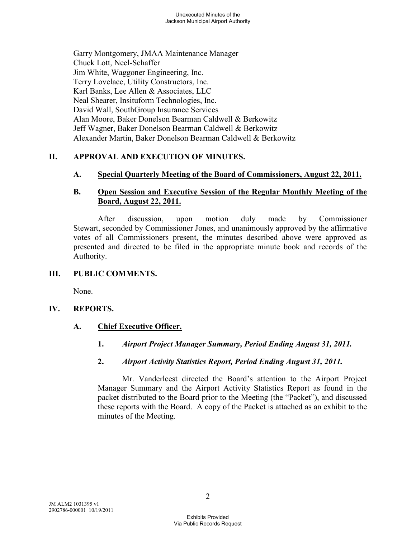Garry Montgomery, JMAA Maintenance Manager Chuck Lott, Neel-Schaffer Jim White, Waggoner Engineering, Inc. Terry Lovelace, Utility Constructors, Inc. Karl Banks, Lee Allen & Associates, LLC Neal Shearer, Insituform Technologies, Inc. David Wall, SouthGroup Insurance Services Alan Moore, Baker Donelson Bearman Caldwell & Berkowitz Jeff Wagner, Baker Donelson Bearman Caldwell & Berkowitz Alexander Martin, Baker Donelson Bearman Caldwell & Berkowitz

# **II. APPROVAL AND EXECUTION OF MINUTES.**

#### **A. Special Quarterly Meeting of the Board of Commissioners, August 22, 2011.**

# **B. Open Session and Executive Session of the Regular Monthly Meeting of the Board, August 22, 2011.**

After discussion, upon motion duly made by Commissioner Stewart, seconded by Commissioner Jones, and unanimously approved by the affirmative votes of all Commissioners present, the minutes described above were approved as presented and directed to be filed in the appropriate minute book and records of the Authority.

#### **III. PUBLIC COMMENTS.**

None.

#### **IV. REPORTS.**

#### **A. Chief Executive Officer.**

**1.** *Airport Project Manager Summary, Period Ending August 31, 2011.* 

#### **2.** *Airport Activity Statistics Report, Period Ending August 31, 2011.*

Mr. Vanderleest directed the Board's attention to the Airport Project Manager Summary and the Airport Activity Statistics Report as found in the packet distributed to the Board prior to the Meeting (the "Packet"), and discussed these reports with the Board. A copy of the Packet is attached as an exhibit to the minutes of the Meeting.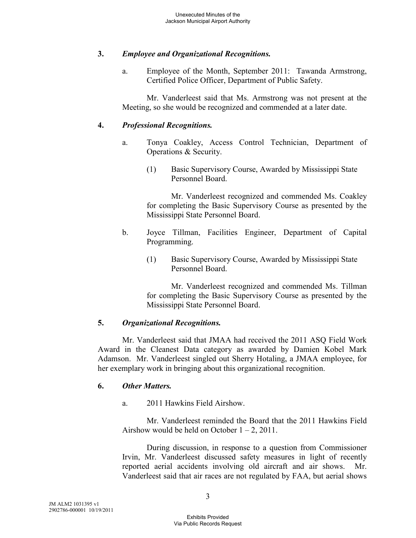# **3.** *Employee and Organizational Recognitions.*

a. Employee of the Month, September 2011: Tawanda Armstrong, Certified Police Officer, Department of Public Safety.

Mr. Vanderleest said that Ms. Armstrong was not present at the Meeting, so she would be recognized and commended at a later date.

## **4.** *Professional Recognitions.*

- a. Tonya Coakley, Access Control Technician, Department of Operations & Security.
	- (1) Basic Supervisory Course, Awarded by Mississippi State Personnel Board.

Mr. Vanderleest recognized and commended Ms. Coakley for completing the Basic Supervisory Course as presented by the Mississippi State Personnel Board.

- b. Joyce Tillman, Facilities Engineer, Department of Capital Programming.
	- (1) Basic Supervisory Course, Awarded by Mississippi State Personnel Board.

Mr. Vanderleest recognized and commended Ms. Tillman for completing the Basic Supervisory Course as presented by the Mississippi State Personnel Board.

#### **5.** *Organizational Recognitions.*

Mr. Vanderleest said that JMAA had received the 2011 ASQ Field Work Award in the Cleanest Data category as awarded by Damien Kobel Mark Adamson. Mr. Vanderleest singled out Sherry Hotaling, a JMAA employee, for her exemplary work in bringing about this organizational recognition.

#### **6.** *Other Matters.*

a. 2011 Hawkins Field Airshow.

Mr. Vanderleest reminded the Board that the 2011 Hawkins Field Airshow would be held on October  $1 - 2$ , 2011.

During discussion, in response to a question from Commissioner Irvin, Mr. Vanderleest discussed safety measures in light of recently reported aerial accidents involving old aircraft and air shows. Mr. Vanderleest said that air races are not regulated by FAA, but aerial shows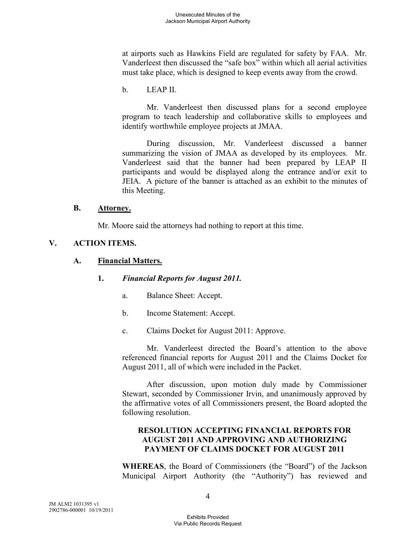at airports such as Hawkins Field are regulated for safety by FAA. Mr. Vanderleest then discussed the "safe box" within which all aerial activities must take place, which is designed to keep events away from the crowd.

b. LEAP II.

Mr. Vanderleest then discussed plans for a second employee program to teach leadership and collaborative skills to employees and identify worthwhile employee projects at JMAA.

During discussion, Mr. Vanderleest discussed a banner summarizing the vision of JMAA as developed by its employees. Mr. Vanderleest said that the banner had been prepared by LEAP II participants and would be displayed along the entrance and/or exit to JEIA. A picture of the banner is attached as an exhibit to the minutes of this Meeting.

#### **B. Attorney.**

Mr. Moore said the attorneys had nothing to report at this time.

# **V. ACTION ITEMS.**

# **A. Financial Matters.**

#### **1.** *Financial Reports for August 2011.*

- a. Balance Sheet: Accept.
- b. Income Statement: Accept.
- c. Claims Docket for August 2011: Approve.

Mr. Vanderleest directed the Board's attention to the above referenced financial reports for August 2011 and the Claims Docket for August 2011, all of which were included in the Packet.

After discussion, upon motion duly made by Commissioner Stewart, seconded by Commissioner Irvin, and unanimously approved by the affirmative votes of all Commissioners present, the Board adopted the following resolution.

# **RESOLUTION ACCEPTING FINANCIAL REPORTS FOR AUGUST 2011 AND APPROVING AND AUTHORIZING PAYMENT OF CLAIMS DOCKET FOR AUGUST 2011**

**WHEREAS**, the Board of Commissioners (the "Board") of the Jackson Municipal Airport Authority (the "Authority") has reviewed and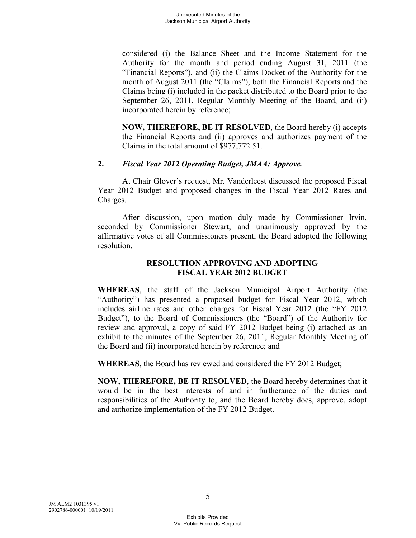considered (i) the Balance Sheet and the Income Statement for the Authority for the month and period ending August 31, 2011 (the "Financial Reports"), and (ii) the Claims Docket of the Authority for the month of August 2011 (the "Claims"), both the Financial Reports and the Claims being (i) included in the packet distributed to the Board prior to the September 26, 2011, Regular Monthly Meeting of the Board, and (ii) incorporated herein by reference;

**NOW, THEREFORE, BE IT RESOLVED**, the Board hereby (i) accepts the Financial Reports and (ii) approves and authorizes payment of the Claims in the total amount of \$977,772.51.

# **2.** *Fiscal Year 2012 Operating Budget, JMAA: Approve.*

At Chair Glover's request, Mr. Vanderleest discussed the proposed Fiscal Year 2012 Budget and proposed changes in the Fiscal Year 2012 Rates and Charges.

After discussion, upon motion duly made by Commissioner Irvin, seconded by Commissioner Stewart, and unanimously approved by the affirmative votes of all Commissioners present, the Board adopted the following resolution.

# **RESOLUTION APPROVING AND ADOPTING FISCAL YEAR 2012 BUDGET**

**WHEREAS**, the staff of the Jackson Municipal Airport Authority (the "Authority") has presented a proposed budget for Fiscal Year 2012, which includes airline rates and other charges for Fiscal Year 2012 (the "FY 2012 Budget"), to the Board of Commissioners (the "Board") of the Authority for review and approval, a copy of said FY 2012 Budget being (i) attached as an exhibit to the minutes of the September 26, 2011, Regular Monthly Meeting of the Board and (ii) incorporated herein by reference; and

**WHEREAS**, the Board has reviewed and considered the FY 2012 Budget;

**NOW, THEREFORE, BE IT RESOLVED**, the Board hereby determines that it would be in the best interests of and in furtherance of the duties and responsibilities of the Authority to, and the Board hereby does, approve, adopt and authorize implementation of the FY 2012 Budget.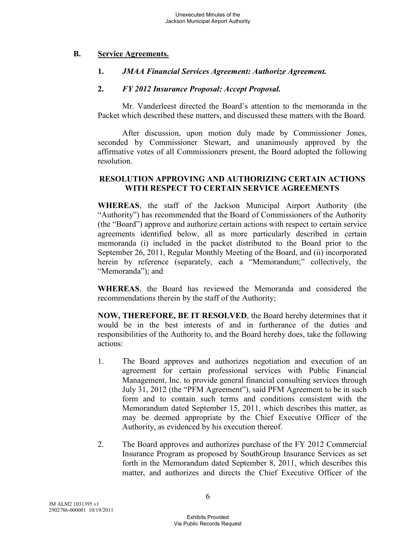## **B. Service Agreements.**

## **1.** *JMAA Financial Services Agreement: Authorize Agreement.*

## **2.** *FY 2012 Insurance Proposal: Accept Proposal.*

Mr. Vanderleest directed the Board's attention to the memoranda in the Packet which described these matters, and discussed these matters with the Board.

After discussion, upon motion duly made by Commissioner Jones, seconded by Commissioner Stewart, and unanimously approved by the affirmative votes of all Commissioners present, the Board adopted the following resolution.

# **RESOLUTION APPROVING AND AUTHORIZING CERTAIN ACTIONS WITH RESPECT TO CERTAIN SERVICE AGREEMENTS**

**WHEREAS**, the staff of the Jackson Municipal Airport Authority (the "Authority") has recommended that the Board of Commissioners of the Authority (the "Board") approve and authorize certain actions with respect to certain service agreements identified below, all as more particularly described in certain memoranda (i) included in the packet distributed to the Board prior to the September 26, 2011, Regular Monthly Meeting of the Board, and (ii) incorporated herein by reference (separately, each a "Memorandum;" collectively, the "Memoranda"); and

**WHEREAS**, the Board has reviewed the Memoranda and considered the recommendations therein by the staff of the Authority;

**NOW, THEREFORE, BE IT RESOLVED**, the Board hereby determines that it would be in the best interests of and in furtherance of the duties and responsibilities of the Authority to, and the Board hereby does, take the following actions:

- 1. The Board approves and authorizes negotiation and execution of an agreement for certain professional services with Public Financial Management, Inc. to provide general financial consulting services through July 31, 2012 (the "PFM Agreement"), said PFM Agreement to be in such form and to contain such terms and conditions consistent with the Memorandum dated September 15, 2011, which describes this matter, as may be deemed appropriate by the Chief Executive Officer of the Authority, as evidenced by his execution thereof.
- 2. The Board approves and authorizes purchase of the FY 2012 Commercial Insurance Program as proposed by SouthGroup Insurance Services as set forth in the Memorandum dated September 8, 2011, which describes this matter, and authorizes and directs the Chief Executive Officer of the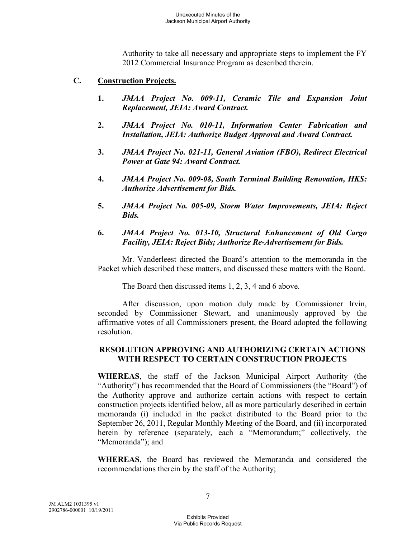Authority to take all necessary and appropriate steps to implement the FY 2012 Commercial Insurance Program as described therein.

- **C. Construction Projects.** 
	- **1.** *JMAA Project No. 009-11, Ceramic Tile and Expansion Joint Replacement, JEIA: Award Contract.*
	- **2.** *JMAA Project No. 010-11, Information Center Fabrication and Installation, JEIA: Authorize Budget Approval and Award Contract.*
	- **3.** *JMAA Project No. 021-11, General Aviation (FBO), Redirect Electrical Power at Gate 94: Award Contract.*
	- **4.** *JMAA Project No. 009-08, South Terminal Building Renovation, HKS: Authorize Advertisement for Bids.*
	- **5.** *JMAA Project No. 005-09, Storm Water Improvements, JEIA: Reject Bids.*
	- **6.** *JMAA Project No. 013-10, Structural Enhancement of Old Cargo Facility, JEIA: Reject Bids; Authorize Re-Advertisement for Bids.*

Mr. Vanderleest directed the Board's attention to the memoranda in the Packet which described these matters, and discussed these matters with the Board.

The Board then discussed items 1, 2, 3, 4 and 6 above.

After discussion, upon motion duly made by Commissioner Irvin, seconded by Commissioner Stewart, and unanimously approved by the affirmative votes of all Commissioners present, the Board adopted the following resolution.

# **RESOLUTION APPROVING AND AUTHORIZING CERTAIN ACTIONS WITH RESPECT TO CERTAIN CONSTRUCTION PROJECTS**

**WHEREAS**, the staff of the Jackson Municipal Airport Authority (the "Authority") has recommended that the Board of Commissioners (the "Board") of the Authority approve and authorize certain actions with respect to certain construction projects identified below, all as more particularly described in certain memoranda (i) included in the packet distributed to the Board prior to the September 26, 2011, Regular Monthly Meeting of the Board, and (ii) incorporated herein by reference (separately, each a "Memorandum;" collectively, the "Memoranda"); and

**WHEREAS**, the Board has reviewed the Memoranda and considered the recommendations therein by the staff of the Authority;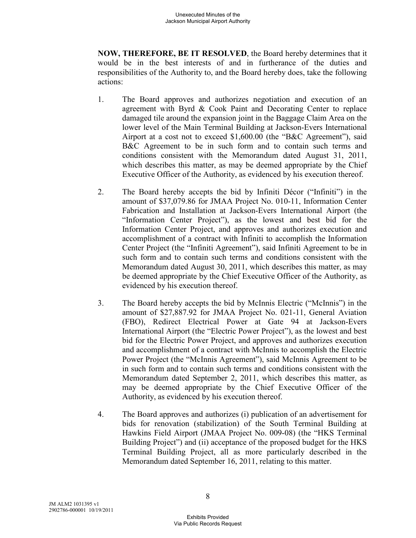**NOW, THEREFORE, BE IT RESOLVED**, the Board hereby determines that it would be in the best interests of and in furtherance of the duties and responsibilities of the Authority to, and the Board hereby does, take the following actions:

- 1. The Board approves and authorizes negotiation and execution of an agreement with Byrd & Cook Paint and Decorating Center to replace damaged tile around the expansion joint in the Baggage Claim Area on the lower level of the Main Terminal Building at Jackson-Evers International Airport at a cost not to exceed \$1,600.00 (the "B&C Agreement"), said B&C Agreement to be in such form and to contain such terms and conditions consistent with the Memorandum dated August 31, 2011, which describes this matter, as may be deemed appropriate by the Chief Executive Officer of the Authority, as evidenced by his execution thereof.
- 2. The Board hereby accepts the bid by Infiniti Décor ("Infiniti") in the amount of \$37,079.86 for JMAA Project No. 010-11, Information Center Fabrication and Installation at Jackson-Evers International Airport (the "Information Center Project"), as the lowest and best bid for the Information Center Project, and approves and authorizes execution and accomplishment of a contract with Infiniti to accomplish the Information Center Project (the "Infiniti Agreement"), said Infiniti Agreement to be in such form and to contain such terms and conditions consistent with the Memorandum dated August 30, 2011, which describes this matter, as may be deemed appropriate by the Chief Executive Officer of the Authority, as evidenced by his execution thereof.
- 3. The Board hereby accepts the bid by McInnis Electric ("McInnis") in the amount of \$27,887.92 for JMAA Project No. 021-11, General Aviation (FBO), Redirect Electrical Power at Gate 94 at Jackson-Evers International Airport (the "Electric Power Project"), as the lowest and best bid for the Electric Power Project, and approves and authorizes execution and accomplishment of a contract with McInnis to accomplish the Electric Power Project (the "McInnis Agreement"), said McInnis Agreement to be in such form and to contain such terms and conditions consistent with the Memorandum dated September 2, 2011, which describes this matter, as may be deemed appropriate by the Chief Executive Officer of the Authority, as evidenced by his execution thereof.
- 4. The Board approves and authorizes (i) publication of an advertisement for bids for renovation (stabilization) of the South Terminal Building at Hawkins Field Airport (JMAA Project No. 009-08) (the "HKS Terminal Building Project") and (ii) acceptance of the proposed budget for the HKS Terminal Building Project, all as more particularly described in the Memorandum dated September 16, 2011, relating to this matter.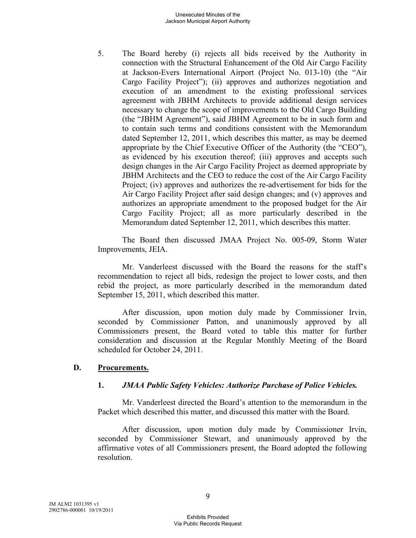5. The Board hereby (i) rejects all bids received by the Authority in connection with the Structural Enhancement of the Old Air Cargo Facility at Jackson-Evers International Airport (Project No. 013-10) (the "Air Cargo Facility Project"); (ii) approves and authorizes negotiation and execution of an amendment to the existing professional services agreement with JBHM Architects to provide additional design services necessary to change the scope of improvements to the Old Cargo Building (the "JBHM Agreement"), said JBHM Agreement to be in such form and to contain such terms and conditions consistent with the Memorandum dated September 12, 2011, which describes this matter, as may be deemed appropriate by the Chief Executive Officer of the Authority (the "CEO"), as evidenced by his execution thereof; (iii) approves and accepts such design changes in the Air Cargo Facility Project as deemed appropriate by JBHM Architects and the CEO to reduce the cost of the Air Cargo Facility Project; (iv) approves and authorizes the re-advertisement for bids for the Air Cargo Facility Project after said design changes; and (v) approves and authorizes an appropriate amendment to the proposed budget for the Air Cargo Facility Project; all as more particularly described in the Memorandum dated September 12, 2011, which describes this matter.

The Board then discussed JMAA Project No. 005-09, Storm Water Improvements, JEIA.

Mr. Vanderleest discussed with the Board the reasons for the staff's recommendation to reject all bids, redesign the project to lower costs, and then rebid the project, as more particularly described in the memorandum dated September 15, 2011, which described this matter.

After discussion, upon motion duly made by Commissioner Irvin, seconded by Commissioner Patton, and unanimously approved by all Commissioners present, the Board voted to table this matter for further consideration and discussion at the Regular Monthly Meeting of the Board scheduled for October 24, 2011.

## **D. Procurements.**

## **1.** *JMAA Public Safety Vehicles: Authorize Purchase of Police Vehicles.*

Mr. Vanderleest directed the Board's attention to the memorandum in the Packet which described this matter, and discussed this matter with the Board.

After discussion, upon motion duly made by Commissioner Irvin, seconded by Commissioner Stewart, and unanimously approved by the affirmative votes of all Commissioners present, the Board adopted the following resolution.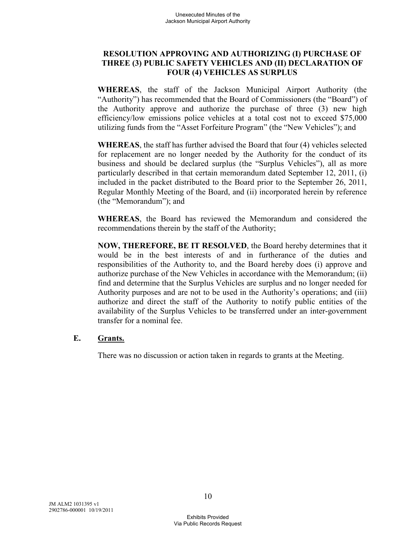# **RESOLUTION APPROVING AND AUTHORIZING (I) PURCHASE OF THREE (3) PUBLIC SAFETY VEHICLES AND (II) DECLARATION OF FOUR (4) VEHICLES AS SURPLUS**

**WHEREAS**, the staff of the Jackson Municipal Airport Authority (the "Authority") has recommended that the Board of Commissioners (the "Board") of the Authority approve and authorize the purchase of three (3) new high efficiency/low emissions police vehicles at a total cost not to exceed \$75,000 utilizing funds from the "Asset Forfeiture Program" (the "New Vehicles"); and

**WHEREAS**, the staff has further advised the Board that four (4) vehicles selected for replacement are no longer needed by the Authority for the conduct of its business and should be declared surplus (the "Surplus Vehicles"), all as more particularly described in that certain memorandum dated September 12, 2011, (i) included in the packet distributed to the Board prior to the September 26, 2011, Regular Monthly Meeting of the Board, and (ii) incorporated herein by reference (the "Memorandum"); and

**WHEREAS**, the Board has reviewed the Memorandum and considered the recommendations therein by the staff of the Authority;

**NOW, THEREFORE, BE IT RESOLVED**, the Board hereby determines that it would be in the best interests of and in furtherance of the duties and responsibilities of the Authority to, and the Board hereby does (i) approve and authorize purchase of the New Vehicles in accordance with the Memorandum; (ii) find and determine that the Surplus Vehicles are surplus and no longer needed for Authority purposes and are not to be used in the Authority's operations; and (iii) authorize and direct the staff of the Authority to notify public entities of the availability of the Surplus Vehicles to be transferred under an inter-government transfer for a nominal fee.

# **E. Grants.**

There was no discussion or action taken in regards to grants at the Meeting.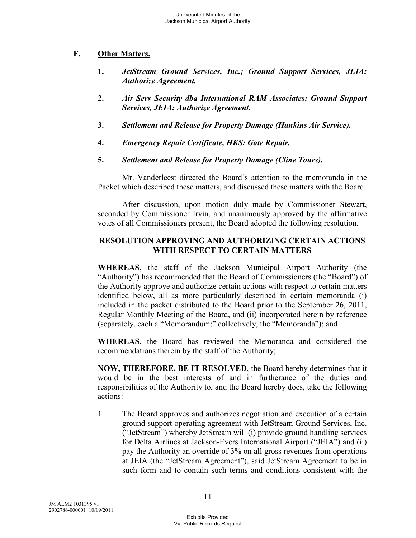# **F. Other Matters.**

- **1.** *JetStream Ground Services, Inc.; Ground Support Services, JEIA: Authorize Agreement.*
- **2.** *Air Serv Security dba International RAM Associates; Ground Support Services, JEIA: Authorize Agreement.*
- **3.** *Settlement and Release for Property Damage (Hankins Air Service).*
- **4.** *Emergency Repair Certificate, HKS: Gate Repair.*
- **5.** *Settlement and Release for Property Damage (Cline Tours).*

Mr. Vanderleest directed the Board's attention to the memoranda in the Packet which described these matters, and discussed these matters with the Board.

After discussion, upon motion duly made by Commissioner Stewart, seconded by Commissioner Irvin, and unanimously approved by the affirmative votes of all Commissioners present, the Board adopted the following resolution.

# **RESOLUTION APPROVING AND AUTHORIZING CERTAIN ACTIONS WITH RESPECT TO CERTAIN MATTERS**

**WHEREAS**, the staff of the Jackson Municipal Airport Authority (the "Authority") has recommended that the Board of Commissioners (the "Board") of the Authority approve and authorize certain actions with respect to certain matters identified below, all as more particularly described in certain memoranda (i) included in the packet distributed to the Board prior to the September 26, 2011, Regular Monthly Meeting of the Board, and (ii) incorporated herein by reference (separately, each a "Memorandum;" collectively, the "Memoranda"); and

**WHEREAS**, the Board has reviewed the Memoranda and considered the recommendations therein by the staff of the Authority;

**NOW, THEREFORE, BE IT RESOLVED**, the Board hereby determines that it would be in the best interests of and in furtherance of the duties and responsibilities of the Authority to, and the Board hereby does, take the following actions:

1. The Board approves and authorizes negotiation and execution of a certain ground support operating agreement with JetStream Ground Services, Inc. ("JetStream") whereby JetStream will (i) provide ground handling services for Delta Airlines at Jackson-Evers International Airport ("JEIA") and (ii) pay the Authority an override of 3% on all gross revenues from operations at JEIA (the "JetStream Agreement"), said JetStream Agreement to be in such form and to contain such terms and conditions consistent with the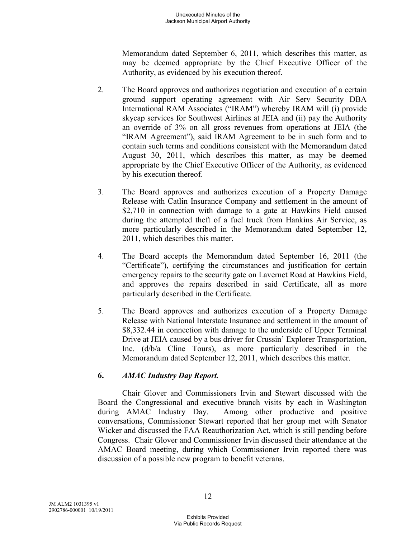Memorandum dated September 6, 2011, which describes this matter, as may be deemed appropriate by the Chief Executive Officer of the Authority, as evidenced by his execution thereof.

- 2. The Board approves and authorizes negotiation and execution of a certain ground support operating agreement with Air Serv Security DBA International RAM Associates ("IRAM") whereby IRAM will (i) provide skycap services for Southwest Airlines at JEIA and (ii) pay the Authority an override of 3% on all gross revenues from operations at JEIA (the "IRAM Agreement"), said IRAM Agreement to be in such form and to contain such terms and conditions consistent with the Memorandum dated August 30, 2011, which describes this matter, as may be deemed appropriate by the Chief Executive Officer of the Authority, as evidenced by his execution thereof.
- 3. The Board approves and authorizes execution of a Property Damage Release with Catlin Insurance Company and settlement in the amount of \$2,710 in connection with damage to a gate at Hawkins Field caused during the attempted theft of a fuel truck from Hankins Air Service, as more particularly described in the Memorandum dated September 12, 2011, which describes this matter.
- 4. The Board accepts the Memorandum dated September 16, 2011 (the "Certificate"), certifying the circumstances and justification for certain emergency repairs to the security gate on Lavernet Road at Hawkins Field, and approves the repairs described in said Certificate, all as more particularly described in the Certificate.
- 5. The Board approves and authorizes execution of a Property Damage Release with National Interstate Insurance and settlement in the amount of \$8,332.44 in connection with damage to the underside of Upper Terminal Drive at JEIA caused by a bus driver for Crussin' Explorer Transportation, Inc. (d/b/a Cline Tours), as more particularly described in the Memorandum dated September 12, 2011, which describes this matter.

# **6.** *AMAC Industry Day Report.*

Chair Glover and Commissioners Irvin and Stewart discussed with the Board the Congressional and executive branch visits by each in Washington during AMAC Industry Day. Among other productive and positive conversations, Commissioner Stewart reported that her group met with Senator Wicker and discussed the FAA Reauthorization Act, which is still pending before Congress. Chair Glover and Commissioner Irvin discussed their attendance at the AMAC Board meeting, during which Commissioner Irvin reported there was discussion of a possible new program to benefit veterans.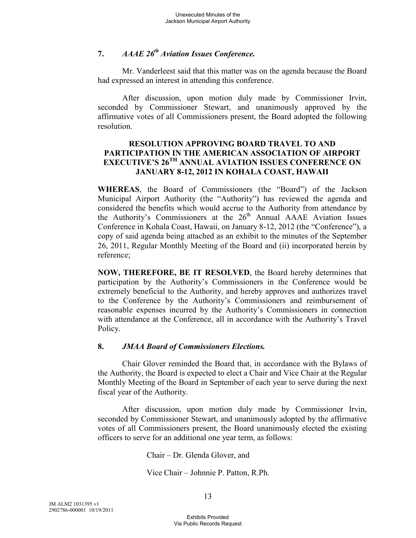# **7.** *AAAE 26th Aviation Issues Conference.*

Mr. Vanderleest said that this matter was on the agenda because the Board had expressed an interest in attending this conference.

After discussion, upon motion duly made by Commissioner Irvin, seconded by Commissioner Stewart, and unanimously approved by the affirmative votes of all Commissioners present, the Board adopted the following resolution.

# **RESOLUTION APPROVING BOARD TRAVEL TO AND PARTICIPATION IN THE AMERICAN ASSOCIATION OF AIRPORT EXECUTIVE'S 26TH ANNUAL AVIATION ISSUES CONFERENCE ON JANUARY 8-12, 2012 IN KOHALA COAST, HAWAII**

**WHEREAS**, the Board of Commissioners (the "Board") of the Jackson Municipal Airport Authority (the "Authority") has reviewed the agenda and considered the benefits which would accrue to the Authority from attendance by the Authority's Commissioners at the  $26<sup>th</sup>$  Annual AAAE Aviation Issues Conference in Kohala Coast, Hawaii, on January 8-12, 2012 (the "Conference"), a copy of said agenda being attached as an exhibit to the minutes of the September 26, 2011, Regular Monthly Meeting of the Board and (ii) incorporated herein by reference;

**NOW, THEREFORE, BE IT RESOLVED**, the Board hereby determines that participation by the Authority's Commissioners in the Conference would be extremely beneficial to the Authority, and hereby approves and authorizes travel to the Conference by the Authority's Commissioners and reimbursement of reasonable expenses incurred by the Authority's Commissioners in connection with attendance at the Conference, all in accordance with the Authority's Travel Policy.

#### **8.** *JMAA Board of Commissioners Elections.*

Chair Glover reminded the Board that, in accordance with the Bylaws of the Authority, the Board is expected to elect a Chair and Vice Chair at the Regular Monthly Meeting of the Board in September of each year to serve during the next fiscal year of the Authority.

After discussion, upon motion duly made by Commissioner Irvin, seconded by Commissioner Stewart, and unanimously adopted by the affirmative votes of all Commissioners present, the Board unanimously elected the existing officers to serve for an additional one year term, as follows:

Chair – Dr. Glenda Glover, and

Vice Chair – Johnnie P. Patton, R.Ph.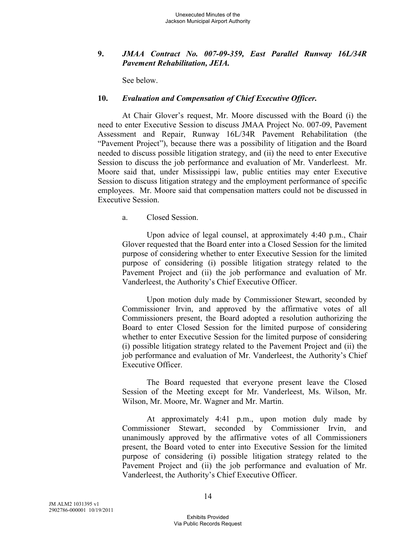# **9.** *JMAA Contract No. 007-09-359, East Parallel Runway 16L/34R Pavement Rehabilitation, JEIA.*

See below.

## **10.** *Evaluation and Compensation of Chief Executive Officer.*

At Chair Glover's request, Mr. Moore discussed with the Board (i) the need to enter Executive Session to discuss JMAA Project No. 007-09, Pavement Assessment and Repair, Runway 16L/34R Pavement Rehabilitation (the "Pavement Project"), because there was a possibility of litigation and the Board needed to discuss possible litigation strategy, and (ii) the need to enter Executive Session to discuss the job performance and evaluation of Mr. Vanderleest. Mr. Moore said that, under Mississippi law, public entities may enter Executive Session to discuss litigation strategy and the employment performance of specific employees. Mr. Moore said that compensation matters could not be discussed in Executive Session.

a. Closed Session.

Upon advice of legal counsel, at approximately 4:40 p.m., Chair Glover requested that the Board enter into a Closed Session for the limited purpose of considering whether to enter Executive Session for the limited purpose of considering (i) possible litigation strategy related to the Pavement Project and (ii) the job performance and evaluation of Mr. Vanderleest, the Authority's Chief Executive Officer.

Upon motion duly made by Commissioner Stewart, seconded by Commissioner Irvin, and approved by the affirmative votes of all Commissioners present, the Board adopted a resolution authorizing the Board to enter Closed Session for the limited purpose of considering whether to enter Executive Session for the limited purpose of considering (i) possible litigation strategy related to the Pavement Project and (ii) the job performance and evaluation of Mr. Vanderleest, the Authority's Chief Executive Officer.

The Board requested that everyone present leave the Closed Session of the Meeting except for Mr. Vanderleest, Ms. Wilson, Mr. Wilson, Mr. Moore, Mr. Wagner and Mr. Martin.

At approximately 4:41 p.m., upon motion duly made by Commissioner Stewart, seconded by Commissioner Irvin, and unanimously approved by the affirmative votes of all Commissioners present, the Board voted to enter into Executive Session for the limited purpose of considering (i) possible litigation strategy related to the Pavement Project and (ii) the job performance and evaluation of Mr. Vanderleest, the Authority's Chief Executive Officer.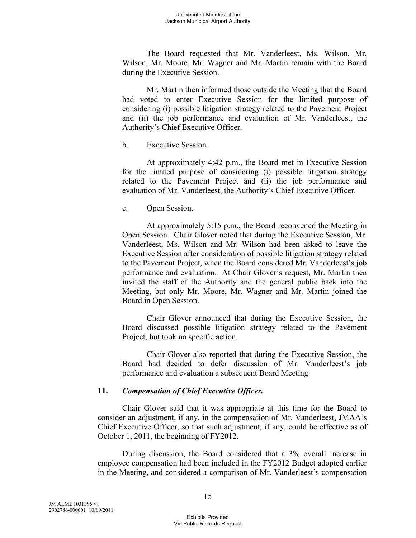The Board requested that Mr. Vanderleest, Ms. Wilson, Mr. Wilson, Mr. Moore, Mr. Wagner and Mr. Martin remain with the Board during the Executive Session.

Mr. Martin then informed those outside the Meeting that the Board had voted to enter Executive Session for the limited purpose of considering (i) possible litigation strategy related to the Pavement Project and (ii) the job performance and evaluation of Mr. Vanderleest, the Authority's Chief Executive Officer.

b. Executive Session.

At approximately 4:42 p.m., the Board met in Executive Session for the limited purpose of considering (i) possible litigation strategy related to the Pavement Project and (ii) the job performance and evaluation of Mr. Vanderleest, the Authority's Chief Executive Officer.

c. Open Session.

At approximately 5:15 p.m., the Board reconvened the Meeting in Open Session. Chair Glover noted that during the Executive Session, Mr. Vanderleest, Ms. Wilson and Mr. Wilson had been asked to leave the Executive Session after consideration of possible litigation strategy related to the Pavement Project, when the Board considered Mr. Vanderleest's job performance and evaluation. At Chair Glover's request, Mr. Martin then invited the staff of the Authority and the general public back into the Meeting, but only Mr. Moore, Mr. Wagner and Mr. Martin joined the Board in Open Session.

Chair Glover announced that during the Executive Session, the Board discussed possible litigation strategy related to the Pavement Project, but took no specific action.

Chair Glover also reported that during the Executive Session, the Board had decided to defer discussion of Mr. Vanderleest's job performance and evaluation a subsequent Board Meeting.

# **11.** *Compensation of Chief Executive Officer.*

Chair Glover said that it was appropriate at this time for the Board to consider an adjustment, if any, in the compensation of Mr. Vanderleest, JMAA's Chief Executive Officer, so that such adjustment, if any, could be effective as of October 1, 2011, the beginning of FY2012.

During discussion, the Board considered that a 3% overall increase in employee compensation had been included in the FY2012 Budget adopted earlier in the Meeting, and considered a comparison of Mr. Vanderleest's compensation